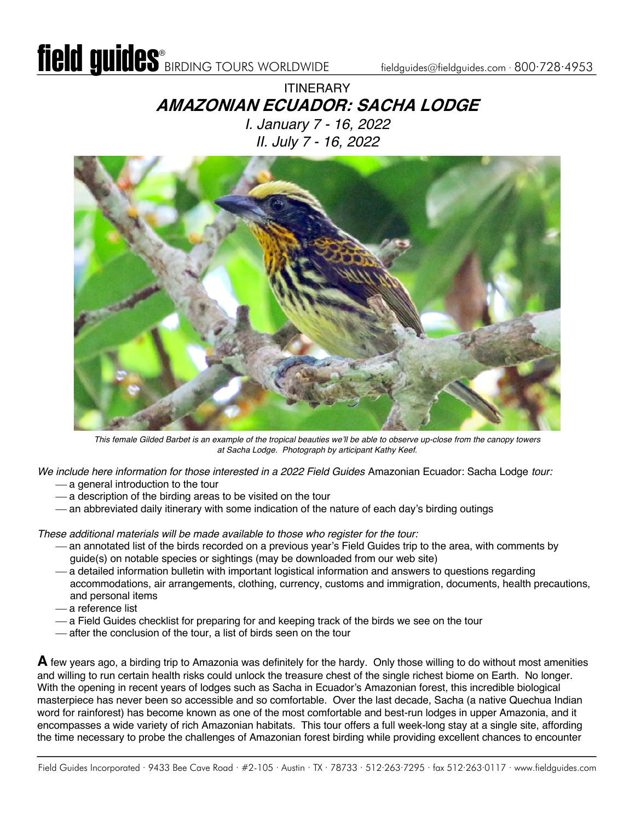# field guides<sup>®</sup> BIRDING TOURS WORLDWIDE fieldguides@fieldguides.com · 800·728·4953

## **ITINERARY AMAZONIAN ECUADOR: SACHA LODGE** *I. January 7 - 16, 2022*

*II. July 7 - 16, 2022*



*This female Gilded Barbet is an example of the tropical beauties we'll be able to observe up-close from the canopy towers at Sacha Lodge. Photograph by articipant Kathy Keef.*

*We include here information for those interested in a 2022 Field Guides* Amazonian Ecuador: Sacha Lodge *tour:*

- $-$  a general introduction to the tour
- a description of the birding areas to be visited on the tour
- an abbreviated daily itinerary with some indication of the nature of each day's birding outings

*These additional materials will be made available to those who register for the tour:*

- ¾ an annotated list of the birds recorded on a previous year's Field Guides trip to the area, with comments by guide(s) on notable species or sightings (may be downloaded from our web site)
- ¾ a detailed information bulletin with important logistical information and answers to questions regarding accommodations, air arrangements, clothing, currency, customs and immigration, documents, health precautions, and personal items
- ¾ a reference list
- a Field Guides checklist for preparing for and keeping track of the birds we see on the tour
- -after the conclusion of the tour, a list of birds seen on the tour

**A** few years ago, a birding trip to Amazonia was definitely for the hardy. Only those willing to do without most amenities and willing to run certain health risks could unlock the treasure chest of the single richest biome on Earth. No longer. With the opening in recent years of lodges such as Sacha in Ecuador's Amazonian forest, this incredible biological masterpiece has never been so accessible and so comfortable. Over the last decade, Sacha (a native Quechua Indian word for rainforest) has become known as one of the most comfortable and best-run lodges in upper Amazonia, and it encompasses a wide variety of rich Amazonian habitats. This tour offers a full week-long stay at a single site, affording the time necessary to probe the challenges of Amazonian forest birding while providing excellent chances to encounter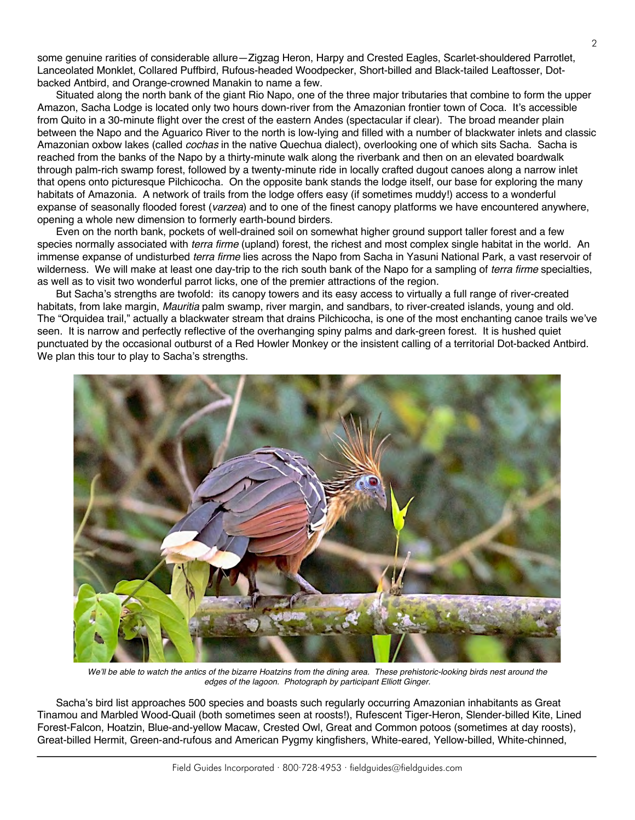some genuine rarities of considerable allure—Zigzag Heron, Harpy and Crested Eagles, Scarlet-shouldered Parrotlet, Lanceolated Monklet, Collared Puffbird, Rufous-headed Woodpecker, Short-billed and Black-tailed Leaftosser, Dotbacked Antbird, and Orange-crowned Manakin to name a few.

Situated along the north bank of the giant Rio Napo, one of the three major tributaries that combine to form the upper Amazon, Sacha Lodge is located only two hours down-river from the Amazonian frontier town of Coca. It's accessible from Quito in a 30-minute flight over the crest of the eastern Andes (spectacular if clear). The broad meander plain between the Napo and the Aguarico River to the north is low-lying and filled with a number of blackwater inlets and classic Amazonian oxbow lakes (called *cochas* in the native Quechua dialect), overlooking one of which sits Sacha. Sacha is reached from the banks of the Napo by a thirty-minute walk along the riverbank and then on an elevated boardwalk through palm-rich swamp forest, followed by a twenty-minute ride in locally crafted dugout canoes along a narrow inlet that opens onto picturesque Pilchicocha. On the opposite bank stands the lodge itself, our base for exploring the many habitats of Amazonia. A network of trails from the lodge offers easy (if sometimes muddy!) access to a wonderful expanse of seasonally flooded forest (*varzea*) and to one of the finest canopy platforms we have encountered anywhere, opening a whole new dimension to formerly earth-bound birders.

Even on the north bank, pockets of well-drained soil on somewhat higher ground support taller forest and a few species normally associated with *terra firme* (upland) forest, the richest and most complex single habitat in the world. An immense expanse of undisturbed *terra firme* lies across the Napo from Sacha in Yasuni National Park, a vast reservoir of wilderness. We will make at least one day-trip to the rich south bank of the Napo for a sampling of *terra firme* specialties, as well as to visit two wonderful parrot licks, one of the premier attractions of the region.

But Sacha's strengths are twofold: its canopy towers and its easy access to virtually a full range of river-created habitats, from lake margin, *Mauritia* palm swamp, river margin, and sandbars, to river-created islands, young and old. The "Orquidea trail," actually a blackwater stream that drains Pilchicocha, is one of the most enchanting canoe trails we've seen. It is narrow and perfectly reflective of the overhanging spiny palms and dark-green forest. It is hushed quiet punctuated by the occasional outburst of a Red Howler Monkey or the insistent calling of a territorial Dot-backed Antbird. We plan this tour to play to Sacha's strengths.



We'll be able to watch the antics of the bizarre Hoatzins from the dining area. These prehistoric-looking birds nest around the *edges of the lagoon. Photograph by participant Elliott Ginger.*

Sacha's bird list approaches 500 species and boasts such regularly occurring Amazonian inhabitants as Great Tinamou and Marbled Wood-Quail (both sometimes seen at roosts!), Rufescent Tiger-Heron, Slender-billed Kite, Lined Forest-Falcon, Hoatzin, Blue-and-yellow Macaw, Crested Owl, Great and Common potoos (sometimes at day roosts), Great-billed Hermit, Green-and-rufous and American Pygmy kingfishers, White-eared, Yellow-billed, White-chinned,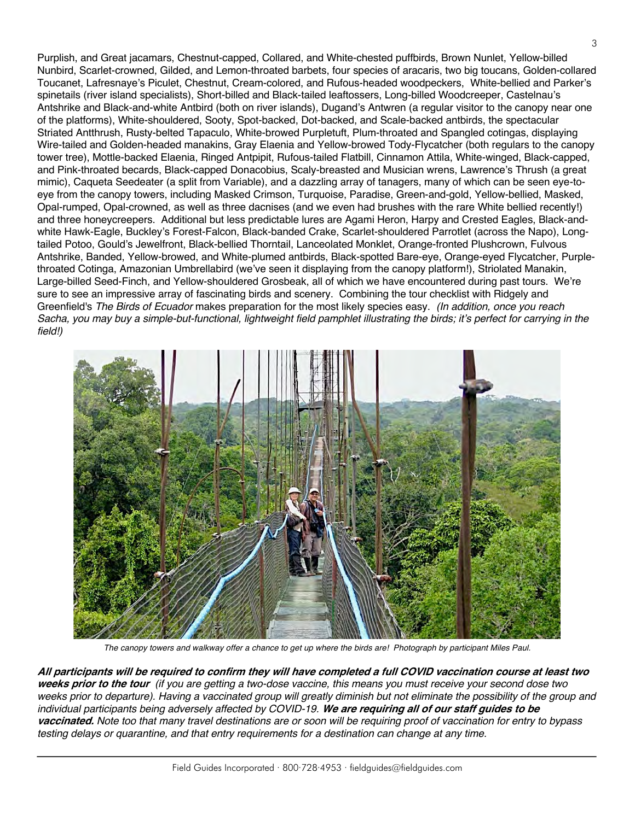Purplish, and Great jacamars, Chestnut-capped, Collared, and White-chested puffbirds, Brown Nunlet, Yellow-billed Nunbird, Scarlet-crowned, Gilded, and Lemon-throated barbets, four species of aracaris, two big toucans, Golden-collared Toucanet, Lafresnaye's Piculet, Chestnut, Cream-colored, and Rufous-headed woodpeckers, White-bellied and Parker's spinetails (river island specialists), Short-billed and Black-tailed leaftossers, Long-billed Woodcreeper, Castelnau's Antshrike and Black-and-white Antbird (both on river islands), Dugand's Antwren (a regular visitor to the canopy near one of the platforms), White-shouldered, Sooty, Spot-backed, Dot-backed, and Scale-backed antbirds, the spectacular Striated Antthrush, Rusty-belted Tapaculo, White-browed Purpletuft, Plum-throated and Spangled cotingas, displaying Wire-tailed and Golden-headed manakins, Gray Elaenia and Yellow-browed Tody-Flycatcher (both regulars to the canopy tower tree), Mottle-backed Elaenia, Ringed Antpipit, Rufous-tailed Flatbill, Cinnamon Attila, White-winged, Black-capped, and Pink-throated becards, Black-capped Donacobius, Scaly-breasted and Musician wrens, Lawrence's Thrush (a great mimic), Caqueta Seedeater (a split from Variable), and a dazzling array of tanagers, many of which can be seen eye-toeye from the canopy towers, including Masked Crimson, Turquoise, Paradise, Green-and-gold, Yellow-bellied, Masked, Opal-rumped, Opal-crowned, as well as three dacnises (and we even had brushes with the rare White bellied recently!) and three honeycreepers. Additional but less predictable lures are Agami Heron, Harpy and Crested Eagles, Black-andwhite Hawk-Eagle, Buckley's Forest-Falcon, Black-banded Crake, Scarlet-shouldered Parrotlet (across the Napo), Longtailed Potoo, Gould's Jewelfront, Black-bellied Thorntail, Lanceolated Monklet, Orange-fronted Plushcrown, Fulvous Antshrike, Banded, Yellow-browed, and White-plumed antbirds, Black-spotted Bare-eye, Orange-eyed Flycatcher, Purplethroated Cotinga, Amazonian Umbrellabird (we've seen it displaying from the canopy platform!), Striolated Manakin, Large-billed Seed-Finch, and Yellow-shouldered Grosbeak, all of which we have encountered during past tours. We're sure to see an impressive array of fascinating birds and scenery. Combining the tour checklist with Ridgely and Greenfield's *The Birds of Ecuador* makes preparation for the most likely species easy. *(In addition, once you reach Sacha, you may buy a simple-but-functional, lightweight field pamphlet illustrating the birds; it's perfect for carrying in the field!)*



*The canopy towers and walkway offer a chance to get up where the birds are! Photograph by participant Miles Paul.*

**All participants will be required to confirm they will have completed a full COVID vaccination course at least two weeks prior to the tour** *(if you are getting a two-dose vaccine, this means you must receive your second dose two weeks prior to departure). Having a vaccinated group will greatly diminish but not eliminate the possibility of the group and individual participants being adversely affected by COVID-19.* **We are requiring all of our staff guides to be vaccinated.** *Note too that many travel destinations are or soon will be requiring proof of vaccination for entry to bypass testing delays or quarantine, and that entry requirements for a destination can change at any time.*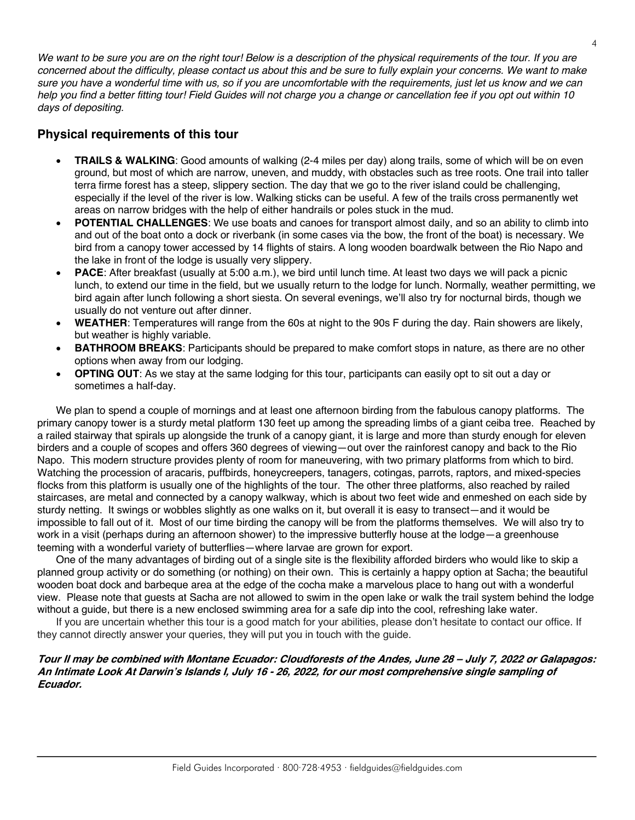We want to be sure you are on the right tour! Below is a description of the physical requirements of the tour. If you are *concerned about the difficulty, please contact us about this and be sure to fully explain your concerns. We want to make sure you have a wonderful time with us, so if you are uncomfortable with the requirements, just let us know and we can help you find a better fitting tour! Field Guides will not charge you a change or cancellation fee if you opt out within 10 days of depositing.*

## **Physical requirements of this tour**

- **TRAILS & WALKING**: Good amounts of walking (2-4 miles per day) along trails, some of which will be on even ground, but most of which are narrow, uneven, and muddy, with obstacles such as tree roots. One trail into taller terra firme forest has a steep, slippery section. The day that we go to the river island could be challenging, especially if the level of the river is low. Walking sticks can be useful. A few of the trails cross permanently wet areas on narrow bridges with the help of either handrails or poles stuck in the mud.
- **POTENTIAL CHALLENGES**: We use boats and canoes for transport almost daily, and so an ability to climb into and out of the boat onto a dock or riverbank (in some cases via the bow, the front of the boat) is necessary. We bird from a canopy tower accessed by 14 flights of stairs. A long wooden boardwalk between the Rio Napo and the lake in front of the lodge is usually very slippery.
- **PACE**: After breakfast (usually at 5:00 a.m.), we bird until lunch time. At least two days we will pack a picnic lunch, to extend our time in the field, but we usually return to the lodge for lunch. Normally, weather permitting, we bird again after lunch following a short siesta. On several evenings, we'll also try for nocturnal birds, though we usually do not venture out after dinner.
- **WEATHER**: Temperatures will range from the 60s at night to the 90s F during the day. Rain showers are likely, but weather is highly variable.
- **BATHROOM BREAKS**: Participants should be prepared to make comfort stops in nature, as there are no other options when away from our lodging.
- **OPTING OUT**: As we stay at the same lodging for this tour, participants can easily opt to sit out a day or sometimes a half-day.

We plan to spend a couple of mornings and at least one afternoon birding from the fabulous canopy platforms. The primary canopy tower is a sturdy metal platform 130 feet up among the spreading limbs of a giant ceiba tree. Reached by a railed stairway that spirals up alongside the trunk of a canopy giant, it is large and more than sturdy enough for eleven birders and a couple of scopes and offers 360 degrees of viewing—out over the rainforest canopy and back to the Rio Napo. This modern structure provides plenty of room for maneuvering, with two primary platforms from which to bird. Watching the procession of aracaris, puffbirds, honeycreepers, tanagers, cotingas, parrots, raptors, and mixed-species flocks from this platform is usually one of the highlights of the tour. The other three platforms, also reached by railed staircases, are metal and connected by a canopy walkway, which is about two feet wide and enmeshed on each side by sturdy netting. It swings or wobbles slightly as one walks on it, but overall it is easy to transect—and it would be impossible to fall out of it. Most of our time birding the canopy will be from the platforms themselves. We will also try to work in a visit (perhaps during an afternoon shower) to the impressive butterfly house at the lodge—a greenhouse teeming with a wonderful variety of butterflies—where larvae are grown for export.

One of the many advantages of birding out of a single site is the flexibility afforded birders who would like to skip a planned group activity or do something (or nothing) on their own. This is certainly a happy option at Sacha; the beautiful wooden boat dock and barbeque area at the edge of the cocha make a marvelous place to hang out with a wonderful view. Please note that guests at Sacha are not allowed to swim in the open lake or walk the trail system behind the lodge without a guide, but there is a new enclosed swimming area for a safe dip into the cool, refreshing lake water.

If you are uncertain whether this tour is a good match for your abilities, please don't hesitate to contact our office. If they cannot directly answer your queries, they will put you in touch with the guide.

#### **Tour II may be combined with Montane Ecuador: Cloudforests of the Andes, June 28 – July 7, 2022 or Galapagos: An Intimate Look At Darwin's Islands I, July 16 - 26, 2022, for our most comprehensive single sampling of Ecuador.**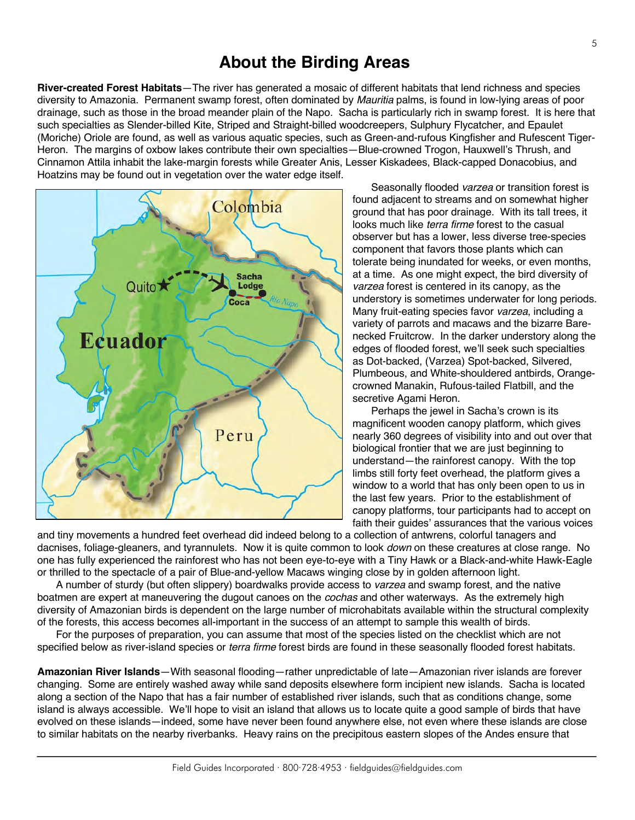## **About the Birding Areas**

**River-created Forest Habitats**—The river has generated a mosaic of different habitats that lend richness and species diversity to Amazonia. Permanent swamp forest, often dominated by *Mauritia* palms, is found in low-lying areas of poor drainage, such as those in the broad meander plain of the Napo. Sacha is particularly rich in swamp forest. It is here that such specialties as Slender-billed Kite, Striped and Straight-billed woodcreepers, Sulphury Flycatcher, and Epaulet (Moriche) Oriole are found, as well as various aquatic species, such as Green-and-rufous Kingfisher and Rufescent Tiger-Heron. The margins of oxbow lakes contribute their own specialties—Blue-crowned Trogon, Hauxwell's Thrush, and Cinnamon Attila inhabit the lake-margin forests while Greater Anis, Lesser Kiskadees, Black-capped Donacobius, and Hoatzins may be found out in vegetation over the water edge itself.



Seasonally flooded *varzea* or transition forest is found adjacent to streams and on somewhat higher ground that has poor drainage. With its tall trees, it looks much like *terra firme* forest to the casual observer but has a lower, less diverse tree-species component that favors those plants which can tolerate being inundated for weeks, or even months, at a time. As one might expect, the bird diversity of *varzea* forest is centered in its canopy, as the understory is sometimes underwater for long periods. Many fruit-eating species favor *varzea*, including a variety of parrots and macaws and the bizarre Barenecked Fruitcrow. In the darker understory along the edges of flooded forest, we'll seek such specialties as Dot-backed, (Varzea) Spot-backed, Silvered, Plumbeous, and White-shouldered antbirds, Orangecrowned Manakin, Rufous-tailed Flatbill, and the secretive Agami Heron.

Perhaps the jewel in Sacha's crown is its magnificent wooden canopy platform, which gives nearly 360 degrees of visibility into and out over that biological frontier that we are just beginning to understand—the rainforest canopy. With the top limbs still forty feet overhead, the platform gives a window to a world that has only been open to us in the last few years. Prior to the establishment of canopy platforms, tour participants had to accept on faith their guides' assurances that the various voices

and tiny movements a hundred feet overhead did indeed belong to a collection of antwrens, colorful tanagers and dacnises, foliage-gleaners, and tyrannulets. Now it is quite common to look *down* on these creatures at close range. No one has fully experienced the rainforest who has not been eye-to-eye with a Tiny Hawk or a Black-and-white Hawk-Eagle or thrilled to the spectacle of a pair of Blue-and-yellow Macaws winging close by in golden afternoon light.

A number of sturdy (but often slippery) boardwalks provide access to *varzea* and swamp forest, and the native boatmen are expert at maneuvering the dugout canoes on the *cochas* and other waterways. As the extremely high diversity of Amazonian birds is dependent on the large number of microhabitats available within the structural complexity of the forests, this access becomes all-important in the success of an attempt to sample this wealth of birds.

For the purposes of preparation, you can assume that most of the species listed on the checklist which are not specified below as river-island species or *terra firme* forest birds are found in these seasonally flooded forest habitats.

**Amazonian River Islands**—With seasonal flooding—rather unpredictable of late—Amazonian river islands are forever changing. Some are entirely washed away while sand deposits elsewhere form incipient new islands. Sacha is located along a section of the Napo that has a fair number of established river islands, such that as conditions change, some island is always accessible. We'll hope to visit an island that allows us to locate quite a good sample of birds that have evolved on these islands—indeed, some have never been found anywhere else, not even where these islands are close to similar habitats on the nearby riverbanks. Heavy rains on the precipitous eastern slopes of the Andes ensure that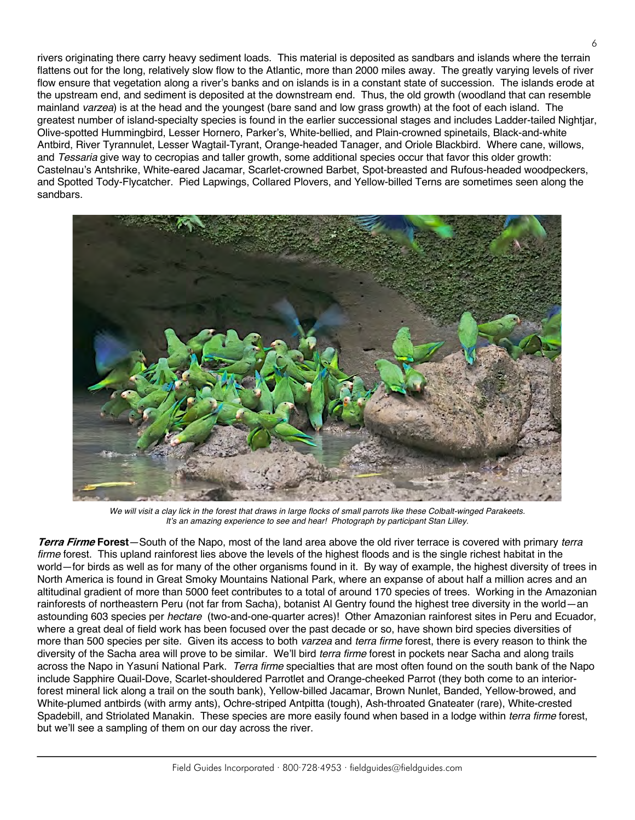rivers originating there carry heavy sediment loads. This material is deposited as sandbars and islands where the terrain flattens out for the long, relatively slow flow to the Atlantic, more than 2000 miles away. The greatly varying levels of river flow ensure that vegetation along a river's banks and on islands is in a constant state of succession. The islands erode at the upstream end, and sediment is deposited at the downstream end. Thus, the old growth (woodland that can resemble mainland *varzea*) is at the head and the youngest (bare sand and low grass growth) at the foot of each island. The greatest number of island-specialty species is found in the earlier successional stages and includes Ladder-tailed Nightjar, Olive-spotted Hummingbird, Lesser Hornero, Parker's, White-bellied, and Plain-crowned spinetails, Black-and-white Antbird, River Tyrannulet, Lesser Wagtail-Tyrant, Orange-headed Tanager, and Oriole Blackbird. Where cane, willows, and *Tessaria* give way to cecropias and taller growth, some additional species occur that favor this older growth: Castelnau's Antshrike, White-eared Jacamar, Scarlet-crowned Barbet, Spot-breasted and Rufous-headed woodpeckers, and Spotted Tody-Flycatcher. Pied Lapwings, Collared Plovers, and Yellow-billed Terns are sometimes seen along the sandbars.



*We will visit a clay lick in the forest that draws in large flocks of small parrots like these Colbalt-winged Parakeets. It's an amazing experience to see and hear! Photograph by participant Stan Lilley.*

**Terra Firme Forest**—South of the Napo, most of the land area above the old river terrace is covered with primary *terra firme* forest. This upland rainforest lies above the levels of the highest floods and is the single richest habitat in the world—for birds as well as for many of the other organisms found in it. By way of example, the highest diversity of trees in North America is found in Great Smoky Mountains National Park, where an expanse of about half a million acres and an altitudinal gradient of more than 5000 feet contributes to a total of around 170 species of trees. Working in the Amazonian rainforests of northeastern Peru (not far from Sacha), botanist Al Gentry found the highest tree diversity in the world—an astounding 603 species per *hectare* (two-and-one-quarter acres)! Other Amazonian rainforest sites in Peru and Ecuador, where a great deal of field work has been focused over the past decade or so, have shown bird species diversities of more than 500 species per site. Given its access to both *varzea* and *terra firme* forest, there is every reason to think the diversity of the Sacha area will prove to be similar. We'll bird *terra firme* forest in pockets near Sacha and along trails across the Napo in Yasuní National Park. *Terra firme* specialties that are most often found on the south bank of the Napo include Sapphire Quail-Dove, Scarlet-shouldered Parrotlet and Orange-cheeked Parrot (they both come to an interiorforest mineral lick along a trail on the south bank), Yellow-billed Jacamar, Brown Nunlet, Banded, Yellow-browed, and White-plumed antbirds (with army ants), Ochre-striped Antpitta (tough), Ash-throated Gnateater (rare), White-crested Spadebill, and Striolated Manakin. These species are more easily found when based in a lodge within *terra firme* forest, but we'll see a sampling of them on our day across the river.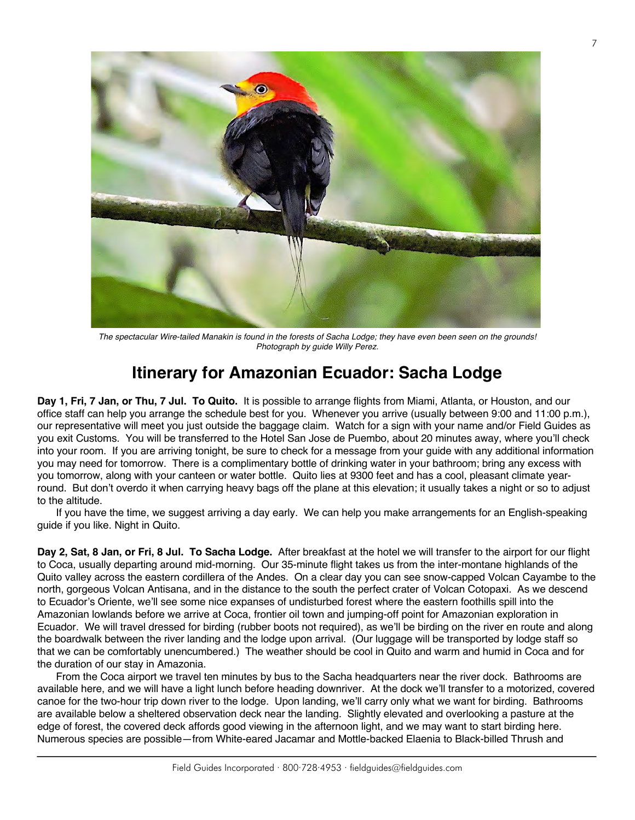

*The spectacular Wire-tailed Manakin is found in the forests of Sacha Lodge; they have even been seen on the grounds! Photograph by guide Willy Perez.*

# **Itinerary for Amazonian Ecuador: Sacha Lodge**

**Day 1, Fri, 7 Jan, or Thu, 7 Jul. To Quito.** It is possible to arrange flights from Miami, Atlanta, or Houston, and our office staff can help you arrange the schedule best for you. Whenever you arrive (usually between 9:00 and 11:00 p.m.), our representative will meet you just outside the baggage claim. Watch for a sign with your name and/or Field Guides as you exit Customs. You will be transferred to the Hotel San Jose de Puembo, about 20 minutes away, where you'll check into your room. If you are arriving tonight, be sure to check for a message from your guide with any additional information you may need for tomorrow. There is a complimentary bottle of drinking water in your bathroom; bring any excess with you tomorrow, along with your canteen or water bottle. Quito lies at 9300 feet and has a cool, pleasant climate yearround. But don't overdo it when carrying heavy bags off the plane at this elevation; it usually takes a night or so to adjust to the altitude.

If you have the time, we suggest arriving a day early. We can help you make arrangements for an English-speaking guide if you like. Night in Quito.

**Day 2, Sat, 8 Jan, or Fri, 8 Jul. To Sacha Lodge.** After breakfast at the hotel we will transfer to the airport for our flight to Coca, usually departing around mid-morning. Our 35-minute flight takes us from the inter-montane highlands of the Quito valley across the eastern cordillera of the Andes. On a clear day you can see snow-capped Volcan Cayambe to the north, gorgeous Volcan Antisana, and in the distance to the south the perfect crater of Volcan Cotopaxi. As we descend to Ecuador's Oriente, we'll see some nice expanses of undisturbed forest where the eastern foothills spill into the Amazonian lowlands before we arrive at Coca, frontier oil town and jumping-off point for Amazonian exploration in Ecuador. We will travel dressed for birding (rubber boots not required), as we'll be birding on the river en route and along the boardwalk between the river landing and the lodge upon arrival. (Our luggage will be transported by lodge staff so that we can be comfortably unencumbered.) The weather should be cool in Quito and warm and humid in Coca and for the duration of our stay in Amazonia.

From the Coca airport we travel ten minutes by bus to the Sacha headquarters near the river dock. Bathrooms are available here, and we will have a light lunch before heading downriver. At the dock we'll transfer to a motorized, covered canoe for the two-hour trip down river to the lodge. Upon landing, we'll carry only what we want for birding. Bathrooms are available below a sheltered observation deck near the landing. Slightly elevated and overlooking a pasture at the edge of forest, the covered deck affords good viewing in the afternoon light, and we may want to start birding here. Numerous species are possible—from White-eared Jacamar and Mottle-backed Elaenia to Black-billed Thrush and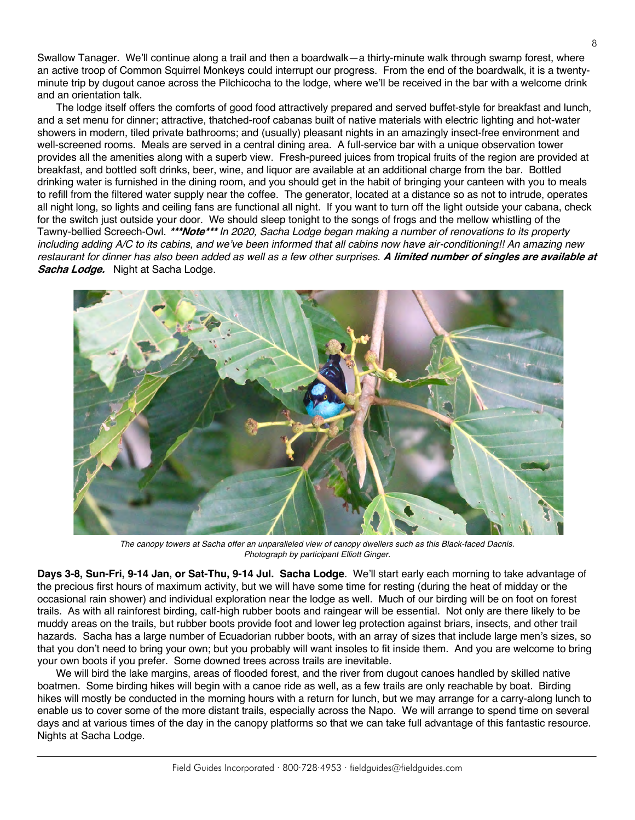Swallow Tanager. We'll continue along a trail and then a boardwalk—a thirty-minute walk through swamp forest, where an active troop of Common Squirrel Monkeys could interrupt our progress. From the end of the boardwalk, it is a twentyminute trip by dugout canoe across the Pilchicocha to the lodge, where we'll be received in the bar with a welcome drink and an orientation talk.

The lodge itself offers the comforts of good food attractively prepared and served buffet-style for breakfast and lunch, and a set menu for dinner; attractive, thatched-roof cabanas built of native materials with electric lighting and hot-water showers in modern, tiled private bathrooms; and (usually) pleasant nights in an amazingly insect-free environment and well-screened rooms. Meals are served in a central dining area. A full-service bar with a unique observation tower provides all the amenities along with a superb view. Fresh-pureed juices from tropical fruits of the region are provided at breakfast, and bottled soft drinks, beer, wine, and liquor are available at an additional charge from the bar. Bottled drinking water is furnished in the dining room, and you should get in the habit of bringing your canteen with you to meals to refill from the filtered water supply near the coffee. The generator, located at a distance so as not to intrude, operates all night long, so lights and ceiling fans are functional all night. If you want to turn off the light outside your cabana, check for the switch just outside your door. We should sleep tonight to the songs of frogs and the mellow whistling of the Tawny-bellied Screech-Owl. **\*\*\*Note\*\*\*** *In 2020, Sacha Lodge began making a number of renovations to its property including adding A/C to its cabins, and we've been informed that all cabins now have air-conditioning!! An amazing new restaurant for dinner has also been added as well as a few other surprises.* **A limited number of singles are available at Sacha Lodge.**Night at Sacha Lodge.



*The canopy towers at Sacha offer an unparalleled view of canopy dwellers such as this Black-faced Dacnis. Photograph by participant Elliott Ginger.*

**Days 3-8, Sun-Fri, 9-14 Jan, or Sat-Thu, 9-14 Jul. Sacha Lodge**. We'll start early each morning to take advantage of the precious first hours of maximum activity, but we will have some time for resting (during the heat of midday or the occasional rain shower) and individual exploration near the lodge as well. Much of our birding will be on foot on forest trails. As with all rainforest birding, calf-high rubber boots and raingear will be essential. Not only are there likely to be muddy areas on the trails, but rubber boots provide foot and lower leg protection against briars, insects, and other trail hazards. Sacha has a large number of Ecuadorian rubber boots, with an array of sizes that include large men's sizes, so that you don't need to bring your own; but you probably will want insoles to fit inside them. And you are welcome to bring your own boots if you prefer. Some downed trees across trails are inevitable.

We will bird the lake margins, areas of flooded forest, and the river from dugout canoes handled by skilled native boatmen. Some birding hikes will begin with a canoe ride as well, as a few trails are only reachable by boat. Birding hikes will mostly be conducted in the morning hours with a return for lunch, but we may arrange for a carry-along lunch to enable us to cover some of the more distant trails, especially across the Napo. We will arrange to spend time on several days and at various times of the day in the canopy platforms so that we can take full advantage of this fantastic resource. Nights at Sacha Lodge.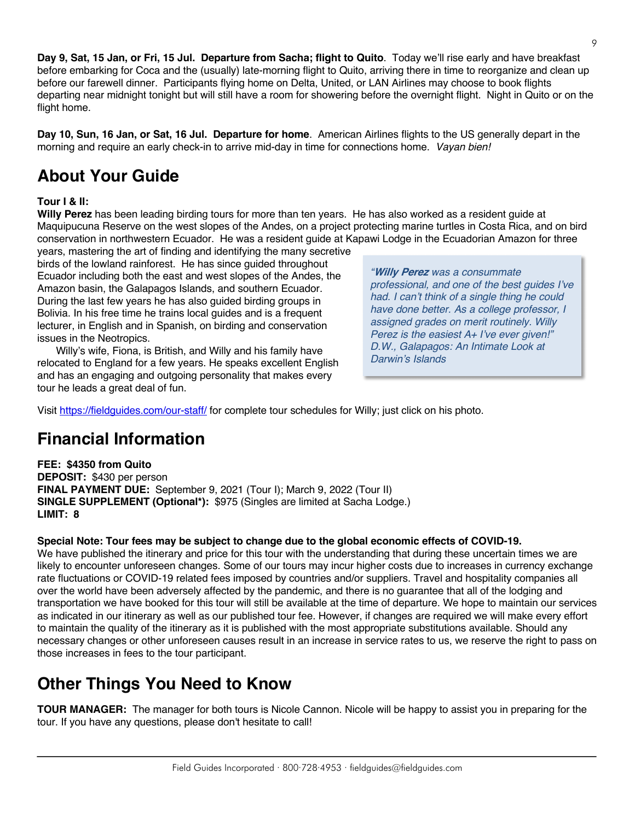**Day 9, Sat, 15 Jan, or Fri, 15 Jul. Departure from Sacha; flight to Quito**. Today we'll rise early and have breakfast before embarking for Coca and the (usually) late-morning flight to Quito, arriving there in time to reorganize and clean up before our farewell dinner. Participants flying home on Delta, United, or LAN Airlines may choose to book flights departing near midnight tonight but will still have a room for showering before the overnight flight. Night in Quito or on the flight home.

**Day 10, Sun, 16 Jan, or Sat, 16 Jul. Departure for home**. American Airlines flights to the US generally depart in the morning and require an early check-in to arrive mid-day in time for connections home. *Vayan bien!*

# **About Your Guide**

## **Tour I & II:**

**Willy Perez** has been leading birding tours for more than ten years. He has also worked as a resident guide at Maquipucuna Reserve on the west slopes of the Andes, on a project protecting marine turtles in Costa Rica, and on bird conservation in northwestern Ecuador. He was a resident guide at Kapawi Lodge in the Ecuadorian Amazon for three

years, mastering the art of finding and identifying the many secretive birds of the lowland rainforest. He has since guided throughout Ecuador including both the east and west slopes of the Andes, the Amazon basin, the Galapagos Islands, and southern Ecuador. During the last few years he has also guided birding groups in Bolivia. In his free time he trains local guides and is a frequent lecturer, in English and in Spanish, on birding and conservation issues in the Neotropics.

Willy's wife, Fiona, is British, and Willy and his family have relocated to England for a few years. He speaks excellent English and has an engaging and outgoing personality that makes every tour he leads a great deal of fun.

*"***Willy Perez** *was a consummate professional, and one of the best guides I've had. I can't think of a single thing he could have done better. As a college professor, I assigned grades on merit routinely. Willy Perez is the easiest A+ I've ever given!" D.W., Galapagos: An Intimate Look at Darwin's Islands*

Visit https://fieldguides.com/our-staff/ for complete tour schedules for Willy; just click on his photo.

# **Financial Information**

**FEE: \$4350 from Quito DEPOSIT:** \$430 per person **FINAL PAYMENT DUE:** September 9, 2021 (Tour I); March 9, 2022 (Tour II) **SINGLE SUPPLEMENT (Optional\*):** \$975 (Singles are limited at Sacha Lodge.) **LIMIT: 8**

### **Special Note: Tour fees may be subject to change due to the global economic effects of COVID-19.**

We have published the itinerary and price for this tour with the understanding that during these uncertain times we are likely to encounter unforeseen changes. Some of our tours may incur higher costs due to increases in currency exchange rate fluctuations or COVID-19 related fees imposed by countries and/or suppliers. Travel and hospitality companies all over the world have been adversely affected by the pandemic, and there is no guarantee that all of the lodging and transportation we have booked for this tour will still be available at the time of departure. We hope to maintain our services as indicated in our itinerary as well as our published tour fee. However, if changes are required we will make every effort to maintain the quality of the itinerary as it is published with the most appropriate substitutions available. Should any necessary changes or other unforeseen causes result in an increase in service rates to us, we reserve the right to pass on those increases in fees to the tour participant.

# **Other Things You Need to Know**

**TOUR MANAGER:** The manager for both tours is Nicole Cannon. Nicole will be happy to assist you in preparing for the tour. If you have any questions, please don't hesitate to call!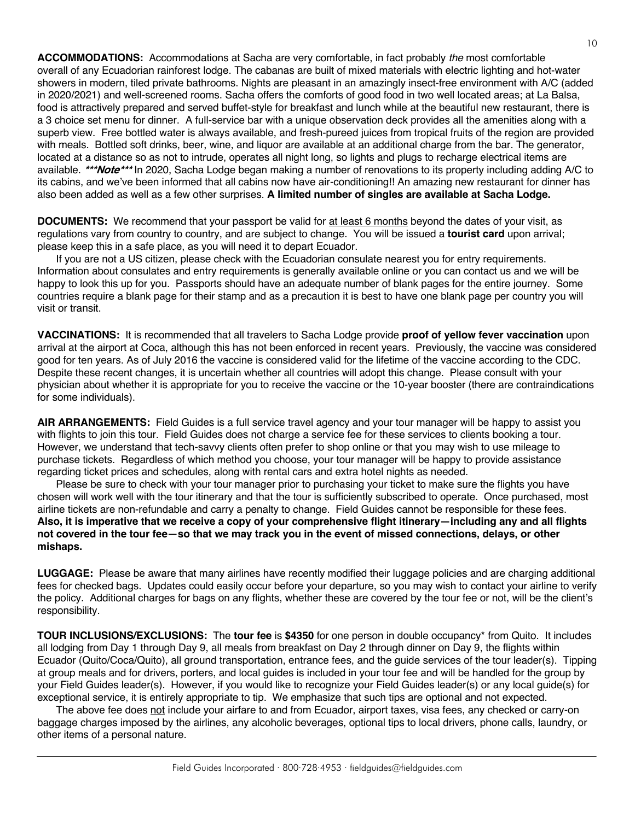**ACCOMMODATIONS:** Accommodations at Sacha are very comfortable, in fact probably *the* most comfortable overall of any Ecuadorian rainforest lodge. The cabanas are built of mixed materials with electric lighting and hot-water showers in modern, tiled private bathrooms. Nights are pleasant in an amazingly insect-free environment with A/C (added in 2020/2021) and well-screened rooms. Sacha offers the comforts of good food in two well located areas; at La Balsa, food is attractively prepared and served buffet-style for breakfast and lunch while at the beautiful new restaurant, there is a 3 choice set menu for dinner. A full-service bar with a unique observation deck provides all the amenities along with a superb view. Free bottled water is always available, and fresh-pureed juices from tropical fruits of the region are provided with meals. Bottled soft drinks, beer, wine, and liquor are available at an additional charge from the bar. The generator, located at a distance so as not to intrude, operates all night long, so lights and plugs to recharge electrical items are available. **\*\*\*Note\*\*\*** In 2020, Sacha Lodge began making a number of renovations to its property including adding A/C to its cabins, and we've been informed that all cabins now have air-conditioning!! An amazing new restaurant for dinner has also been added as well as a few other surprises. **A limited number of singles are available at Sacha Lodge.**

**DOCUMENTS:** We recommend that your passport be valid for at least 6 months beyond the dates of your visit, as regulations vary from country to country, and are subject to change. You will be issued a **tourist card** upon arrival; please keep this in a safe place, as you will need it to depart Ecuador.

If you are not a US citizen, please check with the Ecuadorian consulate nearest you for entry requirements. Information about consulates and entry requirements is generally available online or you can contact us and we will be happy to look this up for you. Passports should have an adequate number of blank pages for the entire journey. Some countries require a blank page for their stamp and as a precaution it is best to have one blank page per country you will visit or transit.

**VACCINATIONS:** It is recommended that all travelers to Sacha Lodge provide **proof of yellow fever vaccination** upon arrival at the airport at Coca, although this has not been enforced in recent years. Previously, the vaccine was considered good for ten years. As of July 2016 the vaccine is considered valid for the lifetime of the vaccine according to the CDC. Despite these recent changes, it is uncertain whether all countries will adopt this change. Please consult with your physician about whether it is appropriate for you to receive the vaccine or the 10-year booster (there are contraindications for some individuals).

**AIR ARRANGEMENTS:** Field Guides is a full service travel agency and your tour manager will be happy to assist you with flights to join this tour. Field Guides does not charge a service fee for these services to clients booking a tour. However, we understand that tech-savvy clients often prefer to shop online or that you may wish to use mileage to purchase tickets. Regardless of which method you choose, your tour manager will be happy to provide assistance regarding ticket prices and schedules, along with rental cars and extra hotel nights as needed.

Please be sure to check with your tour manager prior to purchasing your ticket to make sure the flights you have chosen will work well with the tour itinerary and that the tour is sufficiently subscribed to operate. Once purchased, most airline tickets are non-refundable and carry a penalty to change. Field Guides cannot be responsible for these fees. **Also, it is imperative that we receive a copy of your comprehensive flight itinerary—including any and all flights not covered in the tour fee—so that we may track you in the event of missed connections, delays, or other mishaps.**

**LUGGAGE:** Please be aware that many airlines have recently modified their luggage policies and are charging additional fees for checked bags. Updates could easily occur before your departure, so you may wish to contact your airline to verify the policy. Additional charges for bags on any flights, whether these are covered by the tour fee or not, will be the client's responsibility.

**TOUR INCLUSIONS/EXCLUSIONS:** The **tour fee** is **\$4350** for one person in double occupancy\* from Quito. It includes all lodging from Day 1 through Day 9, all meals from breakfast on Day 2 through dinner on Day 9, the flights within Ecuador (Quito/Coca/Quito), all ground transportation, entrance fees, and the guide services of the tour leader(s). Tipping at group meals and for drivers, porters, and local guides is included in your tour fee and will be handled for the group by your Field Guides leader(s). However, if you would like to recognize your Field Guides leader(s) or any local guide(s) for exceptional service, it is entirely appropriate to tip. We emphasize that such tips are optional and not expected.

The above fee does not include your airfare to and from Ecuador, airport taxes, visa fees, any checked or carry-on baggage charges imposed by the airlines, any alcoholic beverages, optional tips to local drivers, phone calls, laundry, or other items of a personal nature.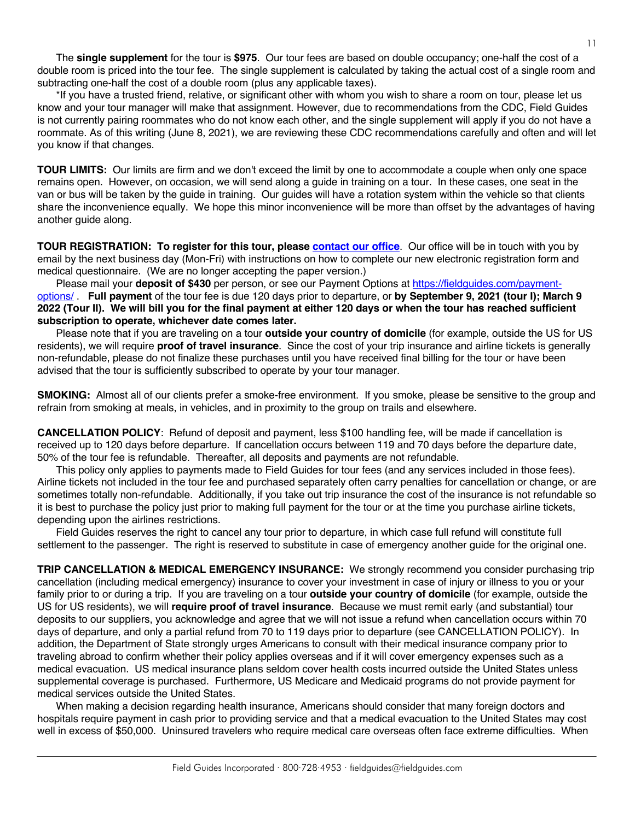The **single supplement** for the tour is **\$975**. Our tour fees are based on double occupancy; one-half the cost of a double room is priced into the tour fee. The single supplement is calculated by taking the actual cost of a single room and subtracting one-half the cost of a double room (plus any applicable taxes).

\*If you have a trusted friend, relative, or significant other with whom you wish to share a room on tour, please let us know and your tour manager will make that assignment. However, due to recommendations from the CDC, Field Guides is not currently pairing roommates who do not know each other, and the single supplement will apply if you do not have a roommate. As of this writing (June 8, 2021), we are reviewing these CDC recommendations carefully and often and will let you know if that changes.

**TOUR LIMITS:** Our limits are firm and we don't exceed the limit by one to accommodate a couple when only one space remains open. However, on occasion, we will send along a guide in training on a tour. In these cases, one seat in the van or bus will be taken by the guide in training. Our guides will have a rotation system within the vehicle so that clients share the inconvenience equally. We hope this minor inconvenience will be more than offset by the advantages of having another guide along.

**TOUR REGISTRATION: To register for this tour, please [contact our office](https://fieldguides.com/contact-us/)**. Our office will be in touch with you by email by the next business day (Mon-Fri) with instructions on how to complete our new electronic registration form and medical questionnaire. (We are no longer accepting the paper version.)

Please mail your **deposit of \$430** per person, or see our Payment Options at [https://fieldguides.com/payment](https://fieldguides.com/payment-options/)[options/](https://fieldguides.com/payment-options/) . **Full payment** of the tour fee is due 120 days prior to departure, or **by September 9, 2021 (tour I); March 9 2022 (Tour II). We will bill you for the final payment at either 120 days or when the tour has reached sufficient subscription to operate, whichever date comes later.**

Please note that if you are traveling on a tour **outside your country of domicile** (for example, outside the US for US residents), we will require **proof of travel insurance**. Since the cost of your trip insurance and airline tickets is generally non-refundable, please do not finalize these purchases until you have received final billing for the tour or have been advised that the tour is sufficiently subscribed to operate by your tour manager.

**SMOKING:** Almost all of our clients prefer a smoke-free environment. If you smoke, please be sensitive to the group and refrain from smoking at meals, in vehicles, and in proximity to the group on trails and elsewhere.

**CANCELLATION POLICY**: Refund of deposit and payment, less \$100 handling fee, will be made if cancellation is received up to 120 days before departure. If cancellation occurs between 119 and 70 days before the departure date, 50% of the tour fee is refundable. Thereafter, all deposits and payments are not refundable.

This policy only applies to payments made to Field Guides for tour fees (and any services included in those fees). Airline tickets not included in the tour fee and purchased separately often carry penalties for cancellation or change, or are sometimes totally non-refundable. Additionally, if you take out trip insurance the cost of the insurance is not refundable so it is best to purchase the policy just prior to making full payment for the tour or at the time you purchase airline tickets, depending upon the airlines restrictions.

Field Guides reserves the right to cancel any tour prior to departure, in which case full refund will constitute full settlement to the passenger. The right is reserved to substitute in case of emergency another guide for the original one.

**TRIP CANCELLATION & MEDICAL EMERGENCY INSURANCE:** We strongly recommend you consider purchasing trip cancellation (including medical emergency) insurance to cover your investment in case of injury or illness to you or your family prior to or during a trip. If you are traveling on a tour **outside your country of domicile** (for example, outside the US for US residents), we will **require proof of travel insurance**. Because we must remit early (and substantial) tour deposits to our suppliers, you acknowledge and agree that we will not issue a refund when cancellation occurs within 70 days of departure, and only a partial refund from 70 to 119 days prior to departure (see CANCELLATION POLICY). In addition, the Department of State strongly urges Americans to consult with their medical insurance company prior to traveling abroad to confirm whether their policy applies overseas and if it will cover emergency expenses such as a medical evacuation. US medical insurance plans seldom cover health costs incurred outside the United States unless supplemental coverage is purchased. Furthermore, US Medicare and Medicaid programs do not provide payment for medical services outside the United States.

When making a decision regarding health insurance, Americans should consider that many foreign doctors and hospitals require payment in cash prior to providing service and that a medical evacuation to the United States may cost well in excess of \$50,000. Uninsured travelers who require medical care overseas often face extreme difficulties. When